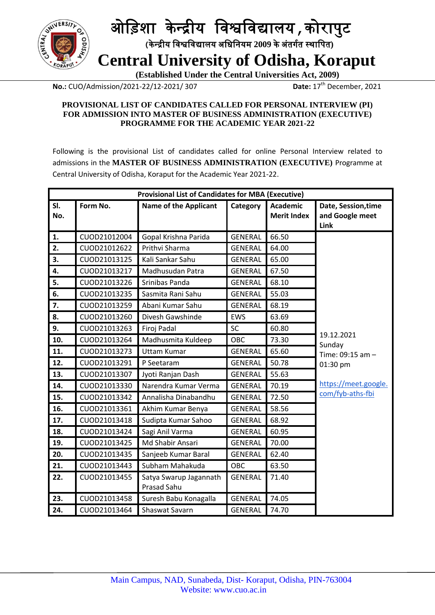

## ओड़िशा के न्द्रीय ड़िश्वड़िद्यालय**,**कोरापुट  **(**के न्द्रीय ड़िश्वड़िद्यालय अड़िड़ियम **2009** केअंतर्गत स्थाड़पत**)**

 **Central University of Odisha, Koraput**

 **(Established Under the Central Universities Act, 2009)**

**No.:** CUO/Admission/2021-22/12-2021/307

Date:  $17<sup>th</sup>$  December, 2021

#### **PROVISIONAL LIST OF CANDIDATES CALLED FOR PERSONAL INTERVIEW (PI) FOR ADMISSION INTO MASTER OF BUSINESS ADMINISTRATION (EXECUTIVE) PROGRAMME FOR THE ACADEMIC YEAR 2021-22**

Following is the provisional List of candidates called for online Personal Interview related to admissions in the **MASTER OF BUSINESS ADMINISTRATION (EXECUTIVE)** Programme at Central University of Odisha, Koraput for the Academic Year 2021-22.

| <b>Provisional List of Candidates for MBA (Executive)</b> |              |                                              |                |                                       |                                                |
|-----------------------------------------------------------|--------------|----------------------------------------------|----------------|---------------------------------------|------------------------------------------------|
| SI.<br>No.                                                | Form No.     | <b>Name of the Applicant</b>                 | Category       | <b>Academic</b><br><b>Merit Index</b> | Date, Session, time<br>and Google meet<br>Link |
| 1.                                                        | CUOD21012004 | Gopal Krishna Parida                         | <b>GENERAL</b> | 66.50                                 |                                                |
| 2.                                                        | CUOD21012622 | Prithvi Sharma                               | GENERAL        | 64.00                                 |                                                |
| 3.                                                        | CUOD21013125 | Kali Sankar Sahu                             | <b>GENERAL</b> | 65.00                                 |                                                |
| 4.                                                        | CUOD21013217 | Madhusudan Patra                             | <b>GENERAL</b> | 67.50                                 |                                                |
| 5.                                                        | CUOD21013226 | Srinibas Panda                               | <b>GENERAL</b> | 68.10                                 |                                                |
| 6.                                                        | CUOD21013235 | Sasmita Rani Sahu                            | <b>GENERAL</b> | 55.03                                 |                                                |
| 7.                                                        | CUOD21013259 | Abani Kumar Sahu                             | <b>GENERAL</b> | 68.19                                 |                                                |
| 8.                                                        | CUOD21013260 | Divesh Gawshinde                             | <b>EWS</b>     | 63.69                                 |                                                |
| 9.                                                        | CUOD21013263 | Firoj Padal                                  | SC             | 60.80                                 |                                                |
| 10.                                                       | CUOD21013264 | Madhusmita Kuldeep                           | OBC            | 73.30                                 | 19.12.2021<br>Sunday                           |
| 11.                                                       | CUOD21013273 | <b>Uttam Kumar</b>                           | <b>GENERAL</b> | 65.60                                 | Time: 09:15 am -                               |
| 12.                                                       | CUOD21013291 | P Seetaram                                   | <b>GENERAL</b> | 50.78                                 | 01:30 pm                                       |
| 13.                                                       | CUOD21013307 | Jyoti Ranjan Dash                            | <b>GENERAL</b> | 55.63                                 |                                                |
| 14.                                                       | CUOD21013330 | Narendra Kumar Verma                         | <b>GENERAL</b> | 70.19                                 | https://meet.google.                           |
| 15.                                                       | CUOD21013342 | Annalisha Dinabandhu                         | <b>GENERAL</b> | 72.50                                 | com/fyb-aths-fbi                               |
| 16.                                                       | CUOD21013361 | Akhim Kumar Benya                            | <b>GENERAL</b> | 58.56                                 |                                                |
| 17.                                                       | CUOD21013418 | Sudipta Kumar Sahoo                          | <b>GENERAL</b> | 68.92                                 |                                                |
| 18.                                                       | CUOD21013424 | Sagi Anil Varma                              | <b>GENERAL</b> | 60.95                                 |                                                |
| 19.                                                       | CUOD21013425 | Md Shabir Ansari                             | <b>GENERAL</b> | 70.00                                 |                                                |
| 20.                                                       | CUOD21013435 | Sanjeeb Kumar Baral                          | <b>GENERAL</b> | 62.40                                 |                                                |
| 21.                                                       | CUOD21013443 | Subham Mahakuda                              | OBC            | 63.50                                 |                                                |
| 22.                                                       | CUOD21013455 | Satya Swarup Jagannath<br><b>Prasad Sahu</b> | <b>GENERAL</b> | 71.40                                 |                                                |
| 23.                                                       | CUOD21013458 | Suresh Babu Konagalla                        | <b>GENERAL</b> | 74.05                                 |                                                |
| 24.                                                       | CUOD21013464 | Shaswat Savarn                               | <b>GENERAL</b> | 74.70                                 |                                                |